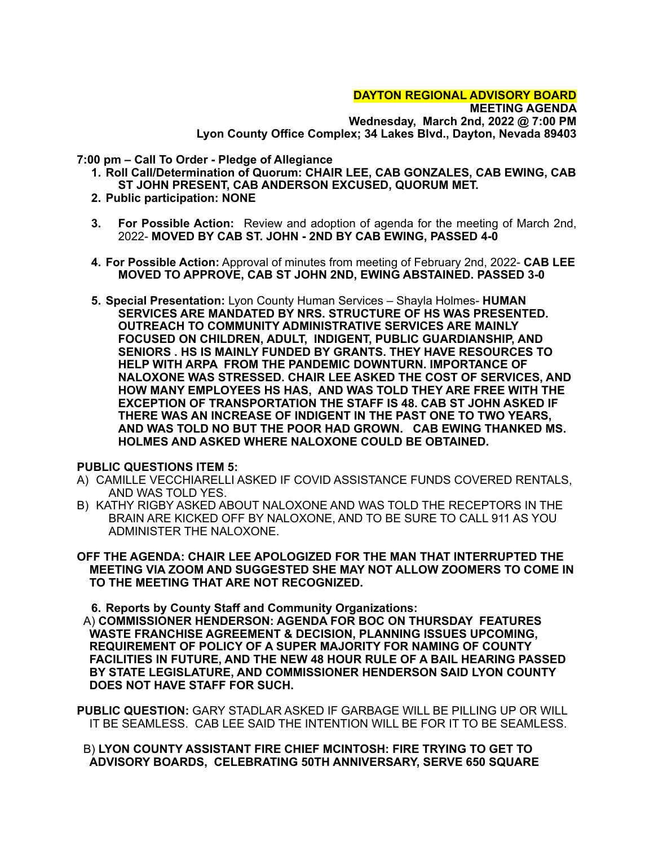#### **DAYTON REGIONAL ADVISORY BOARD**

**MEETING AGENDA Wednesday, March 2nd, 2022 @ 7:00 PM Lyon County Office Complex; 34 Lakes Blvd., Dayton, Nevada 89403**

**7:00 pm – Call To Order - Pledge of Allegiance**

- **1. Roll Call/Determination of Quorum: CHAIR LEE, CAB GONZALES, CAB EWING, CAB ST JOHN PRESENT, CAB ANDERSON EXCUSED, QUORUM MET.**
- **2. Public participation: NONE**
- **3. For Possible Action:** Review and adoption of agenda for the meeting of March 2nd, 2022- **MOVED BY CAB ST. JOHN - 2ND BY CAB EWING, PASSED 4-0**
- **4. For Possible Action:** Approval of minutes from meeting of February 2nd, 2022- **CAB LEE MOVED TO APPROVE, CAB ST JOHN 2ND, EWING ABSTAINED. PASSED 3-0**
- **5. Special Presentation:** Lyon County Human Services Shayla Holmes- **HUMAN SERVICES ARE MANDATED BY NRS. STRUCTURE OF HS WAS PRESENTED. OUTREACH TO COMMUNITY ADMINISTRATIVE SERVICES ARE MAINLY FOCUSED ON CHILDREN, ADULT, INDIGENT, PUBLIC GUARDIANSHIP, AND SENIORS . HS IS MAINLY FUNDED BY GRANTS. THEY HAVE RESOURCES TO HELP WITH ARPA FROM THE PANDEMIC DOWNTURN. IMPORTANCE OF NALOXONE WAS STRESSED. CHAIR LEE ASKED THE COST OF SERVICES, AND HOW MANY EMPLOYEES HS HAS, AND WAS TOLD THEY ARE FREE WITH THE EXCEPTION OF TRANSPORTATION THE STAFF IS 48. CAB ST JOHN ASKED IF THERE WAS AN INCREASE OF INDIGENT IN THE PAST ONE TO TWO YEARS, AND WAS TOLD NO BUT THE POOR HAD GROWN. CAB EWING THANKED MS. HOLMES AND ASKED WHERE NALOXONE COULD BE OBTAINED.**

## **PUBLIC QUESTIONS ITEM 5:**

- A) CAMILLE VECCHIARELLI ASKED IF COVID ASSISTANCE FUNDS COVERED RENTALS, AND WAS TOLD YES.
- B) KATHY RIGBY ASKED ABOUT NALOXONE AND WAS TOLD THE RECEPTORS IN THE BRAIN ARE KICKED OFF BY NALOXONE, AND TO BE SURE TO CALL 911 AS YOU ADMINISTER THE NALOXONE.
- **OFF THE AGENDA: CHAIR LEE APOLOGIZED FOR THE MAN THAT INTERRUPTED THE MEETING VIA ZOOM AND SUGGESTED SHE MAY NOT ALLOW ZOOMERS TO COME IN TO THE MEETING THAT ARE NOT RECOGNIZED.**

**6. Reports by County Staff and Community Organizations:**

A) **COMMISSIONER HENDERSON: AGENDA FOR BOC ON THURSDAY FEATURES WASTE FRANCHISE AGREEMENT & DECISION, PLANNING ISSUES UPCOMING, REQUIREMENT OF POLICY OF A SUPER MAJORITY FOR NAMING OF COUNTY FACILITIES IN FUTURE, AND THE NEW 48 HOUR RULE OF A BAIL HEARING PASSED BY STATE LEGISLATURE, AND COMMISSIONER HENDERSON SAID LYON COUNTY DOES NOT HAVE STAFF FOR SUCH.**

**PUBLIC QUESTION:** GARY STADLAR ASKED IF GARBAGE WILL BE PILLING UP OR WILL IT BE SEAMLESS. CAB LEE SAID THE INTENTION WILL BE FOR IT TO BE SEAMLESS.

## B) **LYON COUNTY ASSISTANT FIRE CHIEF MCINTOSH: FIRE TRYING TO GET TO ADVISORY BOARDS, CELEBRATING 50TH ANNIVERSARY, SERVE 650 SQUARE**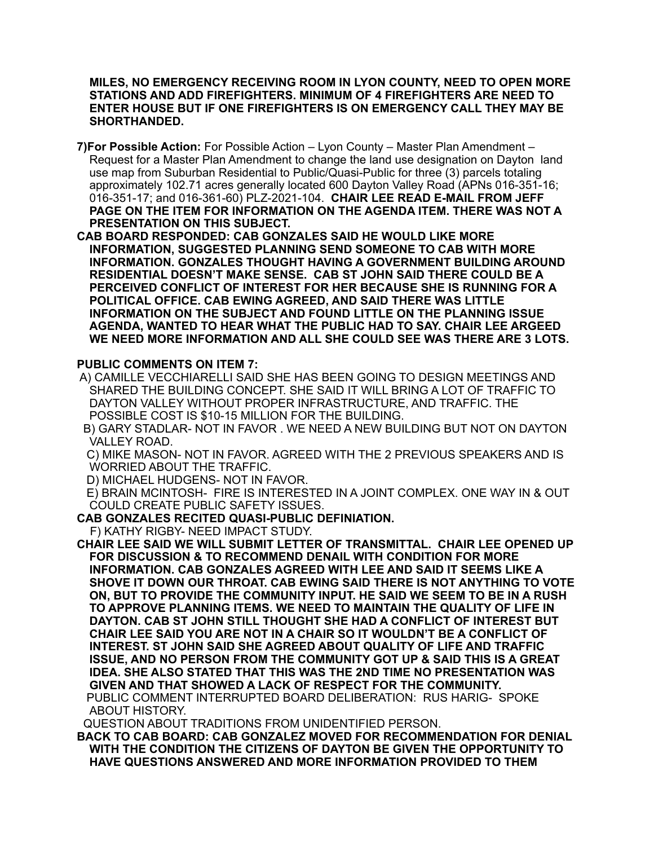## **MILES, NO EMERGENCY RECEIVING ROOM IN LYON COUNTY, NEED TO OPEN MORE STATIONS AND ADD FIREFIGHTERS. MINIMUM OF 4 FIREFIGHTERS ARE NEED TO ENTER HOUSE BUT IF ONE FIREFIGHTERS IS ON EMERGENCY CALL THEY MAY BE SHORTHANDED.**

- **7)For Possible Action:** For Possible Action Lyon County Master Plan Amendment Request for a Master Plan Amendment to change the land use designation on Dayton land use map from Suburban Residential to Public/Quasi-Public for three (3) parcels totaling approximately 102.71 acres generally located 600 Dayton Valley Road (APNs 016-351-16; 016-351-17; and 016-361-60) PLZ-2021-104. **CHAIR LEE READ E-MAIL FROM JEFF PAGE ON THE ITEM FOR INFORMATION ON THE AGENDA ITEM. THERE WAS NOT A PRESENTATION ON THIS SUBJECT.**
- **CAB BOARD RESPONDED: CAB GONZALES SAID HE WOULD LIKE MORE INFORMATION, SUGGESTED PLANNING SEND SOMEONE TO CAB WITH MORE INFORMATION. GONZALES THOUGHT HAVING A GOVERNMENT BUILDING AROUND RESIDENTIAL DOESN'T MAKE SENSE. CAB ST JOHN SAID THERE COULD BE A PERCEIVED CONFLICT OF INTEREST FOR HER BECAUSE SHE IS RUNNING FOR A POLITICAL OFFICE. CAB EWING AGREED, AND SAID THERE WAS LITTLE INFORMATION ON THE SUBJECT AND FOUND LITTLE ON THE PLANNING ISSUE AGENDA, WANTED TO HEAR WHAT THE PUBLIC HAD TO SAY. CHAIR LEE ARGEED WE NEED MORE INFORMATION AND ALL SHE COULD SEE WAS THERE ARE 3 LOTS.**

# **PUBLIC COMMENTS ON ITEM 7:**

- A) CAMILLE VECCHIARELLI SAID SHE HAS BEEN GOING TO DESIGN MEETINGS AND SHARED THE BUILDING CONCEPT. SHE SAID IT WILL BRING A LOT OF TRAFFIC TO DAYTON VALLEY WITHOUT PROPER INFRASTRUCTURE, AND TRAFFIC. THE POSSIBLE COST IS \$10-15 MILLION FOR THE BUILDING.
- B) GARY STADLAR- NOT IN FAVOR . WE NEED A NEW BUILDING BUT NOT ON DAYTON VALLEY ROAD.
- C) MIKE MASON- NOT IN FAVOR. AGREED WITH THE 2 PREVIOUS SPEAKERS AND IS WORRIED ABOUT THE TRAFFIC.
- D) MICHAEL HUDGENS- NOT IN FAVOR.
- E) BRAIN MCINTOSH- FIRE IS INTERESTED IN A JOINT COMPLEX. ONE WAY IN & OUT COULD CREATE PUBLIC SAFETY ISSUES.
- **CAB GONZALES RECITED QUASI-PUBLIC DEFINIATION.**
	- F) KATHY RIGBY- NEED IMPACT STUDY.

**CHAIR LEE SAID WE WILL SUBMIT LETTER OF TRANSMITTAL. CHAIR LEE OPENED UP FOR DISCUSSION & TO RECOMMEND DENAIL WITH CONDITION FOR MORE INFORMATION. CAB GONZALES AGREED WITH LEE AND SAID IT SEEMS LIKE A SHOVE IT DOWN OUR THROAT. CAB EWING SAID THERE IS NOT ANYTHING TO VOTE ON, BUT TO PROVIDE THE COMMUNITY INPUT. HE SAID WE SEEM TO BE IN A RUSH TO APPROVE PLANNING ITEMS. WE NEED TO MAINTAIN THE QUALITY OF LIFE IN DAYTON. CAB ST JOHN STILL THOUGHT SHE HAD A CONFLICT OF INTEREST BUT CHAIR LEE SAID YOU ARE NOT IN A CHAIR SO IT WOULDN'T BE A CONFLICT OF INTEREST. ST JOHN SAID SHE AGREED ABOUT QUALITY OF LIFE AND TRAFFIC ISSUE, AND NO PERSON FROM THE COMMUNITY GOT UP & SAID THIS IS A GREAT IDEA. SHE ALSO STATED THAT THIS WAS THE 2ND TIME NO PRESENTATION WAS GIVEN AND THAT SHOWED A LACK OF RESPECT FOR THE COMMUNITY.** PUBLIC COMMENT INTERRUPTED BOARD DELIBERATION: RUS HARIG- SPOKE ABOUT HISTORY.

QUESTION ABOUT TRADITIONS FROM UNIDENTIFIED PERSON.

**BACK TO CAB BOARD: CAB GONZALEZ MOVED FOR RECOMMENDATION FOR DENIAL WITH THE CONDITION THE CITIZENS OF DAYTON BE GIVEN THE OPPORTUNITY TO HAVE QUESTIONS ANSWERED AND MORE INFORMATION PROVIDED TO THEM**